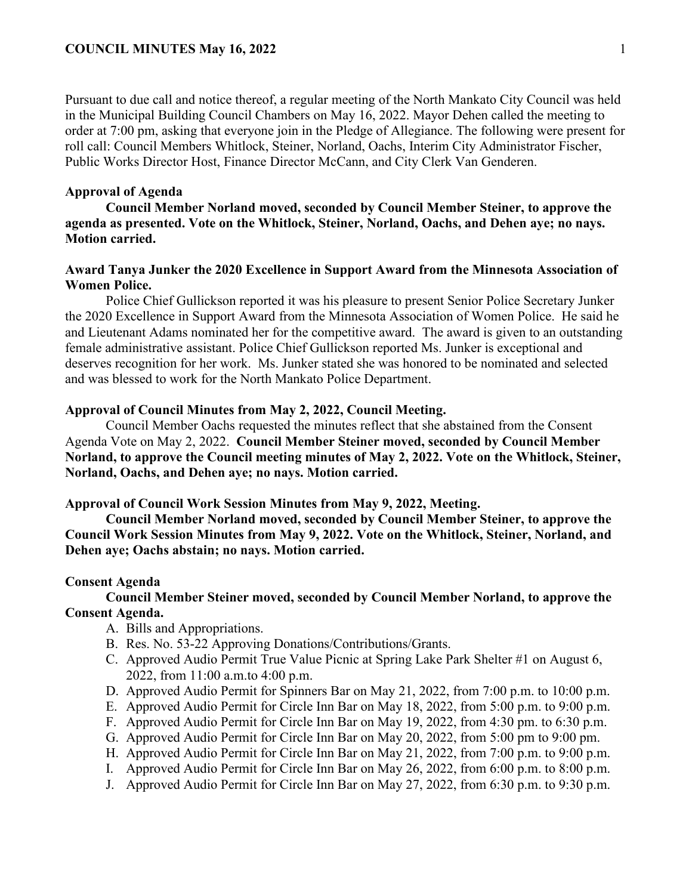Pursuant to due call and notice thereof, a regular meeting of the North Mankato City Council was held in the Municipal Building Council Chambers on May 16, 2022. Mayor Dehen called the meeting to order at 7:00 pm, asking that everyone join in the Pledge of Allegiance. The following were present for roll call: Council Members Whitlock, Steiner, Norland, Oachs, Interim City Administrator Fischer, Public Works Director Host, Finance Director McCann, and City Clerk Van Genderen.

## **Approval of Agenda**

**Council Member Norland moved, seconded by Council Member Steiner, to approve the agenda as presented. Vote on the Whitlock, Steiner, Norland, Oachs, and Dehen aye; no nays. Motion carried.** 

# **Award Tanya Junker the 2020 Excellence in Support Award from the Minnesota Association of Women Police.**

Police Chief Gullickson reported it was his pleasure to present Senior Police Secretary Junker the 2020 Excellence in Support Award from the Minnesota Association of Women Police. He said he and Lieutenant Adams nominated her for the competitive award. The award is given to an outstanding female administrative assistant. Police Chief Gullickson reported Ms. Junker is exceptional and deserves recognition for her work. Ms. Junker stated she was honored to be nominated and selected and was blessed to work for the North Mankato Police Department.

## **Approval of Council Minutes from May 2, 2022, Council Meeting.**

Council Member Oachs requested the minutes reflect that she abstained from the Consent Agenda Vote on May 2, 2022. **Council Member Steiner moved, seconded by Council Member Norland, to approve the Council meeting minutes of May 2, 2022. Vote on the Whitlock, Steiner, Norland, Oachs, and Dehen aye; no nays. Motion carried.** 

#### **Approval of Council Work Session Minutes from May 9, 2022, Meeting.**

**Council Member Norland moved, seconded by Council Member Steiner, to approve the Council Work Session Minutes from May 9, 2022. Vote on the Whitlock, Steiner, Norland, and Dehen aye; Oachs abstain; no nays. Motion carried.** 

#### **Consent Agenda**

# **Council Member Steiner moved, seconded by Council Member Norland, to approve the Consent Agenda.**

- A. Bills and Appropriations.
- B. Res. No. 53-22 Approving Donations/Contributions/Grants.
- C. Approved Audio Permit True Value Picnic at Spring Lake Park Shelter #1 on August 6, 2022, from 11:00 a.m.to 4:00 p.m.
- D. Approved Audio Permit for Spinners Bar on May 21, 2022, from 7:00 p.m. to 10:00 p.m.
- E. Approved Audio Permit for Circle Inn Bar on May 18, 2022, from 5:00 p.m. to 9:00 p.m.
- F. Approved Audio Permit for Circle Inn Bar on May 19, 2022, from 4:30 pm. to 6:30 p.m.
- G. Approved Audio Permit for Circle Inn Bar on May 20, 2022, from 5:00 pm to 9:00 pm.
- H. Approved Audio Permit for Circle Inn Bar on May 21, 2022, from 7:00 p.m. to 9:00 p.m.
- I. Approved Audio Permit for Circle Inn Bar on May 26, 2022, from 6:00 p.m. to 8:00 p.m.
- J. Approved Audio Permit for Circle Inn Bar on May 27, 2022, from 6:30 p.m. to 9:30 p.m.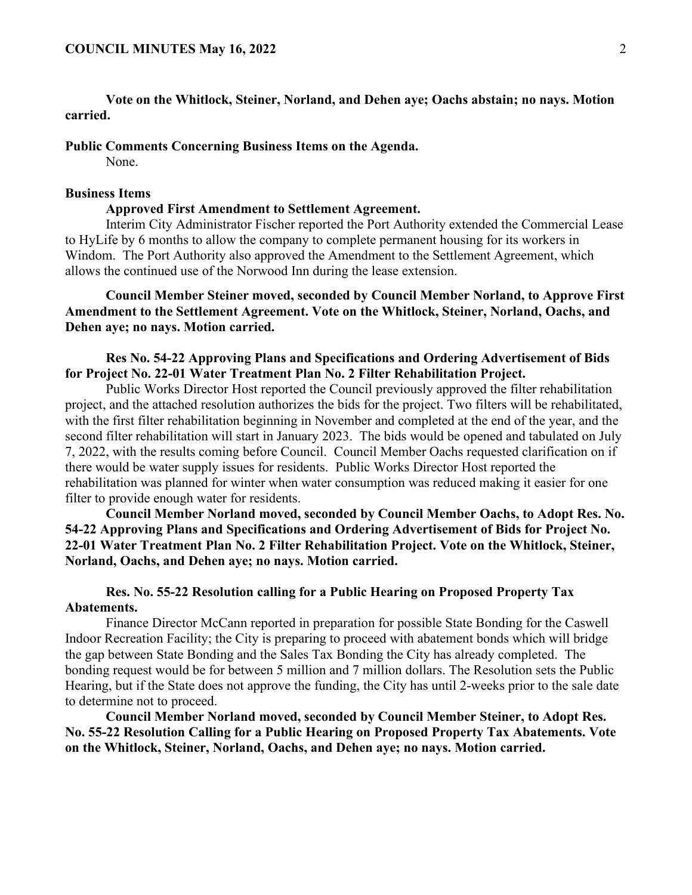**Vote on the Whitlock, Steiner, Norland, and Dehen aye; Oachs abstain; no nays. Motion carried.** 

**Public Comments Concerning Business Items on the Agenda.**

None.

# **Business Items**

#### **Approved First Amendment to Settlement Agreement.**

Interim City Administrator Fischer reported the Port Authority extended the Commercial Lease to HyLife by 6 months to allow the company to complete permanent housing for its workers in Windom. The Port Authority also approved the Amendment to the Settlement Agreement, which allows the continued use of the Norwood Inn during the lease extension.

**Council Member Steiner moved, seconded by Council Member Norland, to Approve First Amendment to the Settlement Agreement. Vote on the Whitlock, Steiner, Norland, Oachs, and Dehen aye; no nays. Motion carried.** 

**Res No. 54-22 Approving Plans and Specifications and Ordering Advertisement of Bids for Project No. 22-01 Water Treatment Plan No. 2 Filter Rehabilitation Project.** 

Public Works Director Host reported the Council previously approved the filter rehabilitation project, and the attached resolution authorizes the bids for the project. Two filters will be rehabilitated, with the first filter rehabilitation beginning in November and completed at the end of the year, and the second filter rehabilitation will start in January 2023. The bids would be opened and tabulated on July 7, 2022, with the results coming before Council. Council Member Oachs requested clarification on if there would be water supply issues for residents. Public Works Director Host reported the rehabilitation was planned for winter when water consumption was reduced making it easier for one filter to provide enough water for residents.

**Council Member Norland moved, seconded by Council Member Oachs, to Adopt Res. No. 54-22 Approving Plans and Specifications and Ordering Advertisement of Bids for Project No. 22-01 Water Treatment Plan No. 2 Filter Rehabilitation Project. Vote on the Whitlock, Steiner, Norland, Oachs, and Dehen aye; no nays. Motion carried.** 

**Res. No. 55-22 Resolution calling for a Public Hearing on Proposed Property Tax Abatements.** 

Finance Director McCann reported in preparation for possible State Bonding for the Caswell Indoor Recreation Facility; the City is preparing to proceed with abatement bonds which will bridge the gap between State Bonding and the Sales Tax Bonding the City has already completed. The bonding request would be for between 5 million and 7 million dollars. The Resolution sets the Public Hearing, but if the State does not approve the funding, the City has until 2-weeks prior to the sale date to determine not to proceed.

**Council Member Norland moved, seconded by Council Member Steiner, to Adopt Res. No. 55-22 Resolution Calling for a Public Hearing on Proposed Property Tax Abatements. Vote on the Whitlock, Steiner, Norland, Oachs, and Dehen aye; no nays. Motion carried.**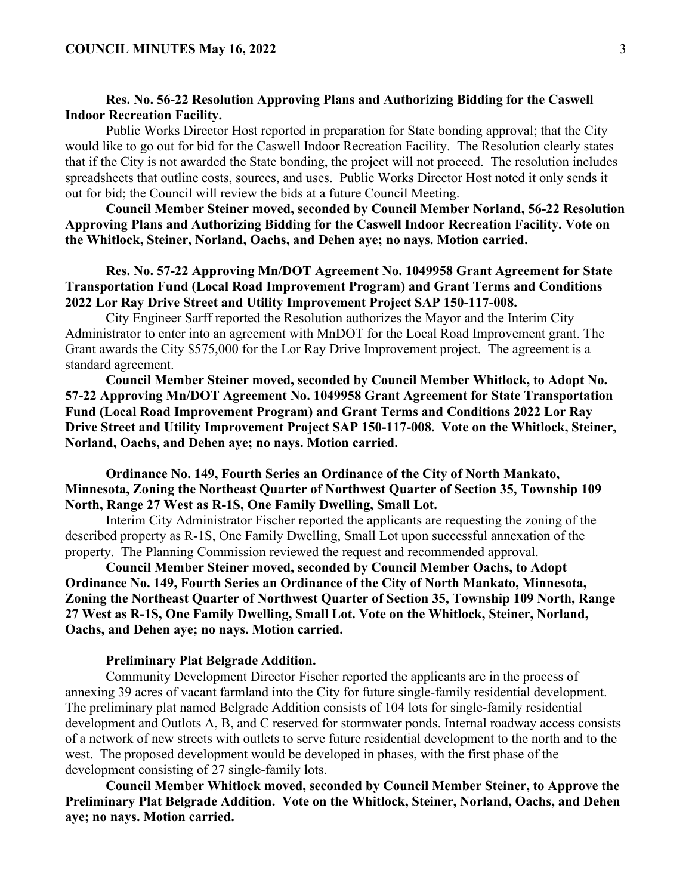# **Res. No. 56-22 Resolution Approving Plans and Authorizing Bidding for the Caswell Indoor Recreation Facility.**

Public Works Director Host reported in preparation for State bonding approval; that the City would like to go out for bid for the Caswell Indoor Recreation Facility. The Resolution clearly states that if the City is not awarded the State bonding, the project will not proceed. The resolution includes spreadsheets that outline costs, sources, and uses. Public Works Director Host noted it only sends it out for bid; the Council will review the bids at a future Council Meeting.

**Council Member Steiner moved, seconded by Council Member Norland, 56-22 Resolution Approving Plans and Authorizing Bidding for the Caswell Indoor Recreation Facility. Vote on the Whitlock, Steiner, Norland, Oachs, and Dehen aye; no nays. Motion carried.** 

# **Res. No. 57-22 Approving Mn/DOT Agreement No. 1049958 Grant Agreement for State Transportation Fund (Local Road Improvement Program) and Grant Terms and Conditions 2022 Lor Ray Drive Street and Utility Improvement Project SAP 150-117-008.**

City Engineer Sarff reported the Resolution authorizes the Mayor and the Interim City Administrator to enter into an agreement with MnDOT for the Local Road Improvement grant. The Grant awards the City \$575,000 for the Lor Ray Drive Improvement project. The agreement is a standard agreement.

**Council Member Steiner moved, seconded by Council Member Whitlock, to Adopt No. 57-22 Approving Mn/DOT Agreement No. 1049958 Grant Agreement for State Transportation Fund (Local Road Improvement Program) and Grant Terms and Conditions 2022 Lor Ray Drive Street and Utility Improvement Project SAP 150-117-008. Vote on the Whitlock, Steiner, Norland, Oachs, and Dehen aye; no nays. Motion carried.** 

# **Ordinance No. 149, Fourth Series an Ordinance of the City of North Mankato, Minnesota, Zoning the Northeast Quarter of Northwest Quarter of Section 35, Township 109 North, Range 27 West as R-1S, One Family Dwelling, Small Lot.**

Interim City Administrator Fischer reported the applicants are requesting the zoning of the described property as R-1S, One Family Dwelling, Small Lot upon successful annexation of the property. The Planning Commission reviewed the request and recommended approval.

**Council Member Steiner moved, seconded by Council Member Oachs, to Adopt Ordinance No. 149, Fourth Series an Ordinance of the City of North Mankato, Minnesota, Zoning the Northeast Quarter of Northwest Quarter of Section 35, Township 109 North, Range 27 West as R-1S, One Family Dwelling, Small Lot. Vote on the Whitlock, Steiner, Norland, Oachs, and Dehen aye; no nays. Motion carried.** 

## **Preliminary Plat Belgrade Addition.**

Community Development Director Fischer reported the applicants are in the process of annexing 39 acres of vacant farmland into the City for future single-family residential development. The preliminary plat named Belgrade Addition consists of 104 lots for single-family residential development and Outlots A, B, and C reserved for stormwater ponds. Internal roadway access consists of a network of new streets with outlets to serve future residential development to the north and to the west. The proposed development would be developed in phases, with the first phase of the development consisting of 27 single-family lots.

**Council Member Whitlock moved, seconded by Council Member Steiner, to Approve the Preliminary Plat Belgrade Addition. Vote on the Whitlock, Steiner, Norland, Oachs, and Dehen aye; no nays. Motion carried.**